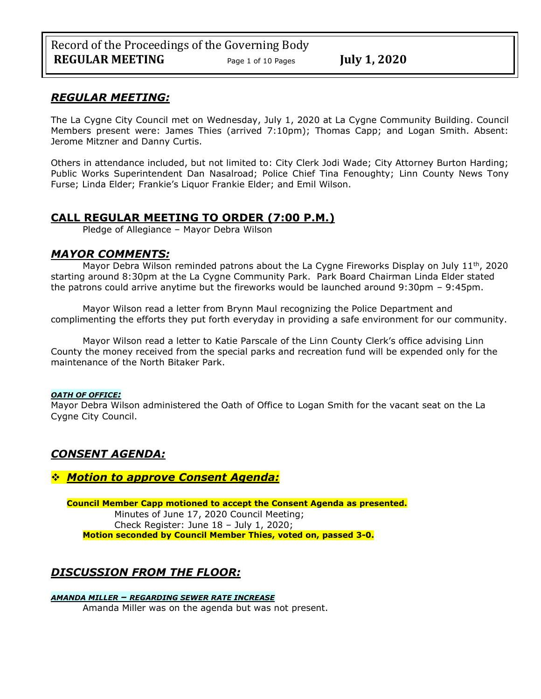## *REGULAR MEETING:*

The La Cygne City Council met on Wednesday, July 1, 2020 at La Cygne Community Building. Council Members present were: James Thies (arrived 7:10pm); Thomas Capp; and Logan Smith. Absent: Jerome Mitzner and Danny Curtis.

Others in attendance included, but not limited to: City Clerk Jodi Wade; City Attorney Burton Harding; Public Works Superintendent Dan Nasalroad; Police Chief Tina Fenoughty; Linn County News Tony Furse; Linda Elder; Frankie's Liquor Frankie Elder; and Emil Wilson.

# **CALL REGULAR MEETING TO ORDER (7:00 P.M.)**

Pledge of Allegiance – Mayor Debra Wilson

## *MAYOR COMMENTS:*

Mayor Debra Wilson reminded patrons about the La Cygne Fireworks Display on July  $11<sup>th</sup>$ , 2020 starting around 8:30pm at the La Cygne Community Park. Park Board Chairman Linda Elder stated the patrons could arrive anytime but the fireworks would be launched around 9:30pm – 9:45pm.

Mayor Wilson read a letter from Brynn Maul recognizing the Police Department and complimenting the efforts they put forth everyday in providing a safe environment for our community.

Mayor Wilson read a letter to Katie Parscale of the Linn County Clerk's office advising Linn County the money received from the special parks and recreation fund will be expended only for the maintenance of the North Bitaker Park.

### *OATH OF OFFICE:*

Mayor Debra Wilson administered the Oath of Office to Logan Smith for the vacant seat on the La Cygne City Council.

## *CONSENT AGENDA:*

## ❖ *Motion to approve Consent Agenda:*

**Council Member Capp motioned to accept the Consent Agenda as presented.** Minutes of June 17, 2020 Council Meeting; Check Register: June 18 – July 1, 2020; **Motion seconded by Council Member Thies, voted on, passed 3-0.** 

# *DISCUSSION FROM THE FLOOR:*

*AMANDA MILLER – REGARDING SEWER RATE INCREASE* Amanda Miller was on the agenda but was not present.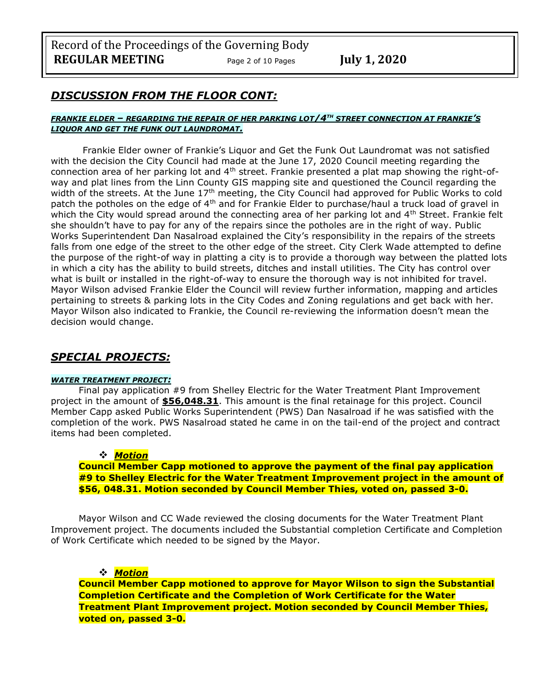Record of the Proceedings of the Governing Body **REGULAR MEETING** Page <sup>2</sup> of 10 Pages **July 1, 2020**

## *DISCUSSION FROM THE FLOOR CONT:*

#### *FRANKIE ELDER – REGARDING THE REPAIR OF HER PARKING LOT/4TH STREET CONNECTION AT FRANKIE'S LIQUOR AND GET THE FUNK OUT LAUNDROMAT.*

Frankie Elder owner of Frankie's Liquor and Get the Funk Out Laundromat was not satisfied with the decision the City Council had made at the June 17, 2020 Council meeting regarding the connection area of her parking lot and  $4<sup>th</sup>$  street. Frankie presented a plat map showing the right-ofway and plat lines from the Linn County GIS mapping site and questioned the Council regarding the width of the streets. At the June 17<sup>th</sup> meeting, the City Council had approved for Public Works to cold patch the potholes on the edge of 4<sup>th</sup> and for Frankie Elder to purchase/haul a truck load of gravel in which the City would spread around the connecting area of her parking lot and 4<sup>th</sup> Street. Frankie felt she shouldn't have to pay for any of the repairs since the potholes are in the right of way. Public Works Superintendent Dan Nasalroad explained the City's responsibility in the repairs of the streets falls from one edge of the street to the other edge of the street. City Clerk Wade attempted to define the purpose of the right-of way in platting a city is to provide a thorough way between the platted lots in which a city has the ability to build streets, ditches and install utilities. The City has control over what is built or installed in the right-of-way to ensure the thorough way is not inhibited for travel. Mayor Wilson advised Frankie Elder the Council will review further information, mapping and articles pertaining to streets & parking lots in the City Codes and Zoning regulations and get back with her. Mayor Wilson also indicated to Frankie, the Council re-reviewing the information doesn't mean the decision would change.

## *SPECIAL PROJECTS:*

#### *WATER TREATMENT PROJECT:*

Final pay application #9 from Shelley Electric for the Water Treatment Plant Improvement project in the amount of **\$56,048.31**. This amount is the final retainage for this project. Council Member Capp asked Public Works Superintendent (PWS) Dan Nasalroad if he was satisfied with the completion of the work. PWS Nasalroad stated he came in on the tail-end of the project and contract items had been completed.

### ❖ *Motion*

**Council Member Capp motioned to approve the payment of the final pay application #9 to Shelley Electric for the Water Treatment Improvement project in the amount of \$56, 048.31. Motion seconded by Council Member Thies, voted on, passed 3-0.** 

Mayor Wilson and CC Wade reviewed the closing documents for the Water Treatment Plant Improvement project. The documents included the Substantial completion Certificate and Completion of Work Certificate which needed to be signed by the Mayor.

### ❖ *Motion*

**Council Member Capp motioned to approve for Mayor Wilson to sign the Substantial Completion Certificate and the Completion of Work Certificate for the Water Treatment Plant Improvement project. Motion seconded by Council Member Thies, voted on, passed 3-0.**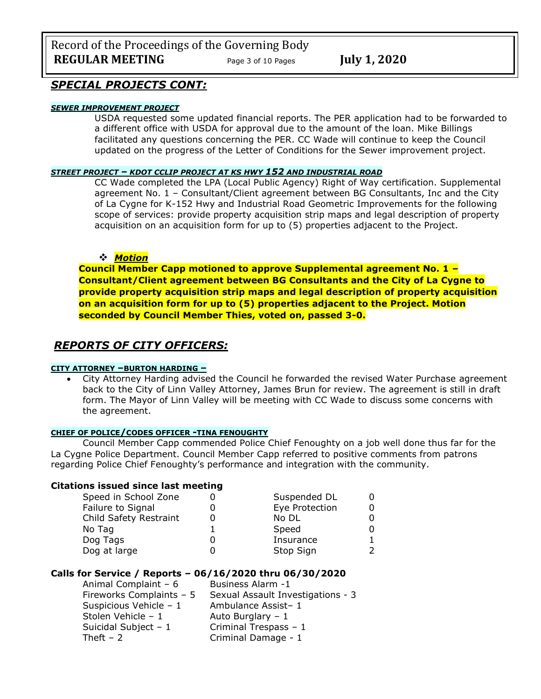Record of the Proceedings of the Governing Body **REGULAR MEETING** Page 3 of 10 Pages July 1, 2020

## *SPECIAL PROJECTS CONT:*

## *SEWER IMPROVEMENT PROJECT*

USDA requested some updated financial reports. The PER application had to be forwarded to a different office with USDA for approval due to the amount of the loan. Mike Billings facilitated any questions concerning the PER. CC Wade will continue to keep the Council updated on the progress of the Letter of Conditions for the Sewer improvement project.

#### *STREET PROJECT – KDOT CCLIP PROJECT AT KS HWY 152 AND INDUSTRIAL ROAD*

CC Wade completed the LPA (Local Public Agency) Right of Way certification. Supplemental agreement No. 1 – Consultant/Client agreement between BG Consultants, Inc and the City of La Cygne for K-152 Hwy and Industrial Road Geometric Improvements for the following scope of services: provide property acquisition strip maps and legal description of property acquisition on an acquisition form for up to (5) properties adjacent to the Project.

#### ❖ *Motion*

**Council Member Capp motioned to approve Supplemental agreement No. 1 – Consultant/Client agreement between BG Consultants and the City of La Cygne to provide property acquisition strip maps and legal description of property acquisition on an acquisition form for up to (5) properties adjacent to the Project. Motion seconded by Council Member Thies, voted on, passed 3-0.** 

## *REPORTS OF CITY OFFICERS:*

#### **CITY ATTORNEY –BURTON HARDING –**

• City Attorney Harding advised the Council he forwarded the revised Water Purchase agreement back to the City of Linn Valley Attorney, James Brun for review. The agreement is still in draft form. The Mayor of Linn Valley will be meeting with CC Wade to discuss some concerns with the agreement.

#### **CHIEF OF POLICE/CODES OFFICER -TINA FENOUGHTY**

Council Member Capp commended Police Chief Fenoughty on a job well done thus far for the La Cygne Police Department. Council Member Capp referred to positive comments from patrons regarding Police Chief Fenoughty's performance and integration with the community.

#### **Citations issued since last meeting**

| Speed in School Zone   | Suspended DL   |  |
|------------------------|----------------|--|
| Failure to Signal      | Eye Protection |  |
| Child Safety Restraint | No DL          |  |
| No Tag                 | Speed          |  |
| Dog Tags               | Insurance      |  |
| Dog at large           | Stop Sign      |  |

#### **Calls for Service / Reports – 06/16/2020 thru 06/30/2020**

| Business Alarm -1                 |
|-----------------------------------|
| Sexual Assault Investigations - 3 |
| Ambulance Assist-1                |
| Auto Burglary $-1$                |
| Criminal Trespass - 1             |
| Criminal Damage - 1               |
|                                   |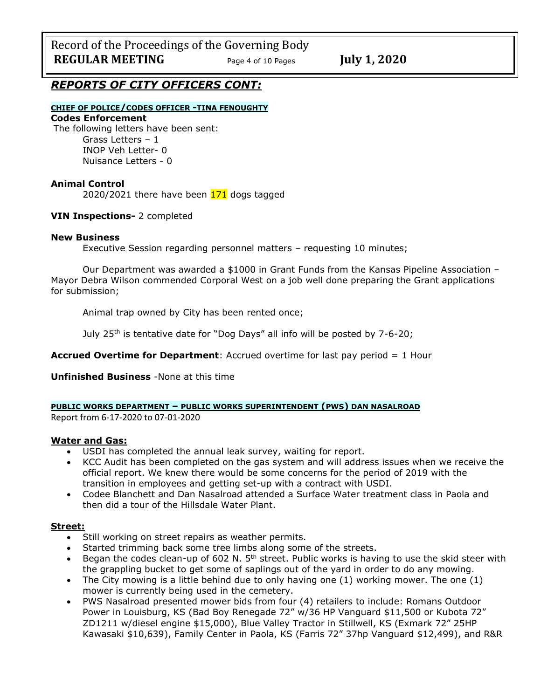Record of the Proceedings of the Governing Body **REGULAR MEETING** Page <sup>4</sup> of 10 Pages **July 1, 2020**

## *REPORTS OF CITY OFFICERS CONT:*

### **CHIEF OF POLICE/CODES OFFICER -TINA FENOUGHTY**

## **Codes Enforcement**

The following letters have been sent: Grass Letters – 1 INOP Veh Letter- 0 Nuisance Letters - 0

#### **Animal Control**

2020/2021 there have been  $171$  dogs tagged

### **VIN Inspections-** 2 completed

#### **New Business**

Executive Session regarding personnel matters – requesting 10 minutes;

Our Department was awarded a \$1000 in Grant Funds from the Kansas Pipeline Association – Mayor Debra Wilson commended Corporal West on a job well done preparing the Grant applications for submission;

Animal trap owned by City has been rented once;

July 25<sup>th</sup> is tentative date for "Dog Days" all info will be posted by 7-6-20;

**Accrued Overtime for Department**: Accrued overtime for last pay period = 1 Hour

**Unfinished Business** -None at this time

**PUBLIC WORKS DEPARTMENT – PUBLIC WORKS SUPERINTENDENT (PWS) DAN NASALROAD**

Report from 6-17-2020 to 07-01-2020

#### **Water and Gas:**

- USDI has completed the annual leak survey, waiting for report.
- KCC Audit has been completed on the gas system and will address issues when we receive the official report. We knew there would be some concerns for the period of 2019 with the transition in employees and getting set-up with a contract with USDI.
- Codee Blanchett and Dan Nasalroad attended a Surface Water treatment class in Paola and then did a tour of the Hillsdale Water Plant.

#### **Street:**

- Still working on street repairs as weather permits.
- Started trimming back some tree limbs along some of the streets.
- Began the codes clean-up of 602 N.  $5<sup>th</sup>$  street. Public works is having to use the skid steer with the grappling bucket to get some of saplings out of the yard in order to do any mowing.
- The City mowing is a little behind due to only having one  $(1)$  working mower. The one  $(1)$ mower is currently being used in the cemetery.
- PWS Nasalroad presented mower bids from four (4) retailers to include: Romans Outdoor Power in Louisburg, KS (Bad Boy Renegade 72" w/36 HP Vanguard \$11,500 or Kubota 72" ZD1211 w/diesel engine \$15,000), Blue Valley Tractor in Stillwell, KS (Exmark 72" 25HP Kawasaki \$10,639), Family Center in Paola, KS (Farris 72" 37hp Vanguard \$12,499), and R&R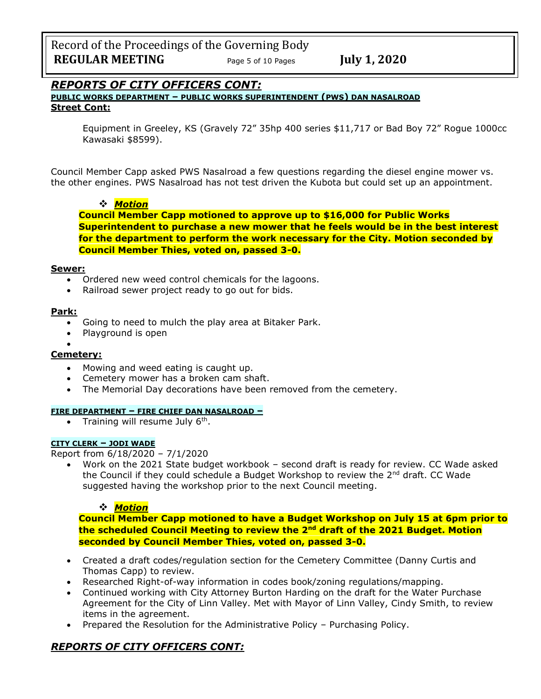Record of the Proceedings of the Governing Body **REGULAR MEETING** Page 5 of 10 Pages **July 1, 2020** 

## *REPORTS OF CITY OFFICERS CONT:*

**PUBLIC WORKS DEPARTMENT – PUBLIC WORKS SUPERINTENDENT (PWS) DAN NASALROAD Street Cont:**

Equipment in Greeley, KS (Gravely 72" 35hp 400 series \$11,717 or Bad Boy 72" Rogue 1000cc Kawasaki \$8599).

Council Member Capp asked PWS Nasalroad a few questions regarding the diesel engine mower vs. the other engines. PWS Nasalroad has not test driven the Kubota but could set up an appointment.

## ❖ *Motion*

**Council Member Capp motioned to approve up to \$16,000 for Public Works Superintendent to purchase a new mower that he feels would be in the best interest for the department to perform the work necessary for the City. Motion seconded by Council Member Thies, voted on, passed 3-0.** 

#### **Sewer:**

- Ordered new weed control chemicals for the lagoons.
- Railroad sewer project ready to go out for bids.

#### **Park:**

- Going to need to mulch the play area at Bitaker Park.
- Playground is open
- •

## **Cemetery:**

- Mowing and weed eating is caught up.
- Cemetery mower has a broken cam shaft.
- The Memorial Day decorations have been removed from the cemetery.

#### **FIRE DEPARTMENT – FIRE CHIEF DAN NASALROAD –**

• Training will resume July  $6<sup>th</sup>$ .

#### **CITY CLERK – JODI WADE**

Report from 6/18/2020 – 7/1/2020

• Work on the 2021 State budget workbook – second draft is ready for review. CC Wade asked the Council if they could schedule a Budget Workshop to review the  $2<sup>nd</sup>$  draft. CC Wade suggested having the workshop prior to the next Council meeting.

### ❖ *Motion*

**Council Member Capp motioned to have a Budget Workshop on July 15 at 6pm prior to the scheduled Council Meeting to review the 2nd draft of the 2021 Budget. Motion seconded by Council Member Thies, voted on, passed 3-0.** 

- Created a draft codes/regulation section for the Cemetery Committee (Danny Curtis and Thomas Capp) to review.
- Researched Right-of-way information in codes book/zoning regulations/mapping.
- Continued working with City Attorney Burton Harding on the draft for the Water Purchase Agreement for the City of Linn Valley. Met with Mayor of Linn Valley, Cindy Smith, to review items in the agreement.
- Prepared the Resolution for the Administrative Policy Purchasing Policy.

## *REPORTS OF CITY OFFICERS CONT:*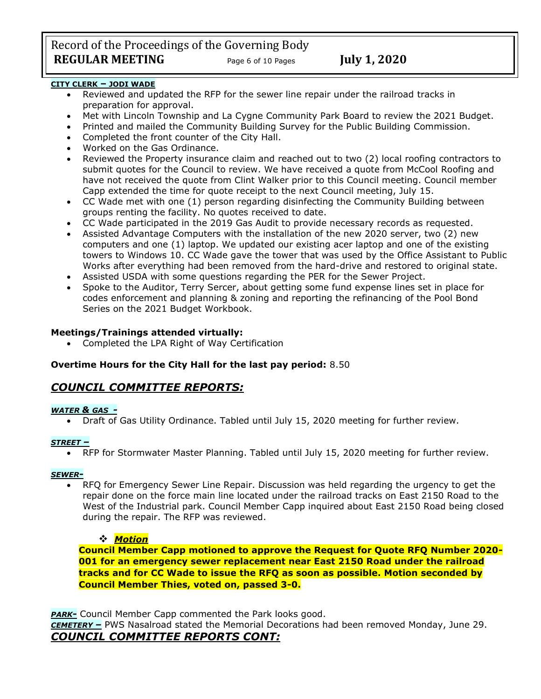Record of the Proceedings of the Governing Body **REGULAR MEETING** Page 6 of 10 Pages July 1, 2020

### **CITY CLERK – JODI WADE**

- Reviewed and updated the RFP for the sewer line repair under the railroad tracks in preparation for approval.
- Met with Lincoln Township and La Cygne Community Park Board to review the 2021 Budget.
- Printed and mailed the Community Building Survey for the Public Building Commission.
- Completed the front counter of the City Hall.
- Worked on the Gas Ordinance.
- Reviewed the Property insurance claim and reached out to two (2) local roofing contractors to submit quotes for the Council to review. We have received a quote from McCool Roofing and have not received the quote from Clint Walker prior to this Council meeting. Council member Capp extended the time for quote receipt to the next Council meeting, July 15.
- CC Wade met with one (1) person regarding disinfecting the Community Building between groups renting the facility. No quotes received to date.
- CC Wade participated in the 2019 Gas Audit to provide necessary records as requested.
- Assisted Advantage Computers with the installation of the new 2020 server, two (2) new computers and one (1) laptop. We updated our existing acer laptop and one of the existing towers to Windows 10. CC Wade gave the tower that was used by the Office Assistant to Public Works after everything had been removed from the hard-drive and restored to original state.
- Assisted USDA with some questions regarding the PER for the Sewer Project.
- Spoke to the Auditor, Terry Sercer, about getting some fund expense lines set in place for codes enforcement and planning & zoning and reporting the refinancing of the Pool Bond Series on the 2021 Budget Workbook.

## **Meetings/Trainings attended virtually:**

• Completed the LPA Right of Way Certification

## **Overtime Hours for the City Hall for the last pay period:** 8.50

## *COUNCIL COMMITTEE REPORTS:*

### *WATER & GAS -*

• Draft of Gas Utility Ordinance. Tabled until July 15, 2020 meeting for further review.

### *STREET –*

• RFP for Stormwater Master Planning. Tabled until July 15, 2020 meeting for further review.

#### *SEWER-*

• RFQ for Emergency Sewer Line Repair. Discussion was held regarding the urgency to get the repair done on the force main line located under the railroad tracks on East 2150 Road to the West of the Industrial park. Council Member Capp inquired about East 2150 Road being closed during the repair. The RFP was reviewed.

### ❖ *Motion*

**Council Member Capp motioned to approve the Request for Quote RFQ Number 2020- 001 for an emergency sewer replacement near East 2150 Road under the railroad tracks and for CC Wade to issue the RFQ as soon as possible. Motion seconded by Council Member Thies, voted on, passed 3-0.** 

*PARK-* Council Member Capp commented the Park looks good.

*CEMETERY –* PWS Nasalroad stated the Memorial Decorations had been removed Monday, June 29. *COUNCIL COMMITTEE REPORTS CONT:*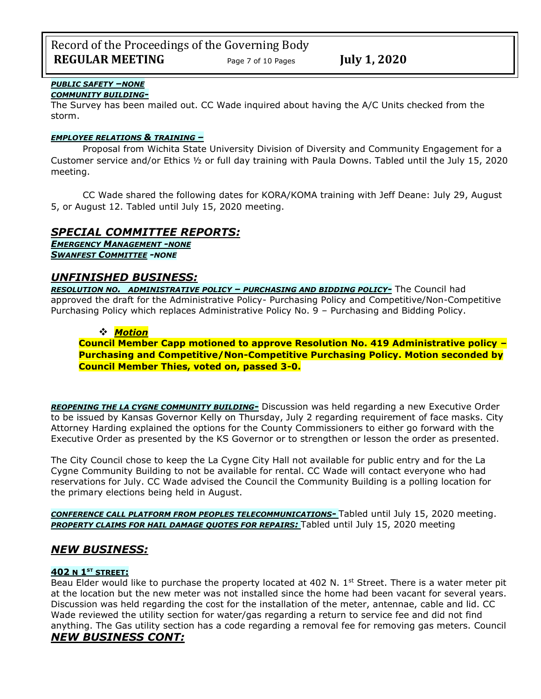#### *PUBLIC SAFETY –NONE COMMUNITY BUILDING-*

The Survey has been mailed out. CC Wade inquired about having the A/C Units checked from the storm.

## *EMPLOYEE RELATIONS & TRAINING –*

Proposal from Wichita State University Division of Diversity and Community Engagement for a Customer service and/or Ethics ½ or full day training with Paula Downs. Tabled until the July 15, 2020 meeting.

CC Wade shared the following dates for KORA/KOMA training with Jeff Deane: July 29, August 5, or August 12. Tabled until July 15, 2020 meeting.

# *SPECIAL COMMITTEE REPORTS:*

*EMERGENCY MANAGEMENT -NONE SWANFEST COMMITTEE -NONE*

## *UNFINISHED BUSINESS:*

*RESOLUTION NO. ADMINISTRATIVE POLICY – PURCHASING AND BIDDING POLICY-* The Council had approved the draft for the Administrative Policy- Purchasing Policy and Competitive/Non-Competitive Purchasing Policy which replaces Administrative Policy No. 9 – Purchasing and Bidding Policy.

## ❖ *Motion*

**Council Member Capp motioned to approve Resolution No. 419 Administrative policy – Purchasing and Competitive/Non-Competitive Purchasing Policy. Motion seconded by Council Member Thies, voted on, passed 3-0.** 

*REOPENING THE LA CYGNE COMMUNITY BUILDING-* Discussion was held regarding a new Executive Order to be issued by Kansas Governor Kelly on Thursday, July 2 regarding requirement of face masks. City Attorney Harding explained the options for the County Commissioners to either go forward with the Executive Order as presented by the KS Governor or to strengthen or lesson the order as presented.

The City Council chose to keep the La Cygne City Hall not available for public entry and for the La Cygne Community Building to not be available for rental. CC Wade will contact everyone who had reservations for July. CC Wade advised the Council the Community Building is a polling location for the primary elections being held in August.

*CONFERENCE CALL PLATFORM FROM PEOPLES TELECOMMUNICATIONS-* Tabled until July 15, 2020 meeting. *PROPERTY CLAIMS FOR HAIL DAMAGE QUOTES FOR REPAIRS:* Tabled until July 15, 2020 meeting

# *NEW BUSINESS:*

## **402 N 1ST STREET:**

Beau Elder would like to purchase the property located at 402 N. 1<sup>st</sup> Street. There is a water meter pit at the location but the new meter was not installed since the home had been vacant for several years. Discussion was held regarding the cost for the installation of the meter, antennae, cable and lid. CC Wade reviewed the utility section for water/gas regarding a return to service fee and did not find anything. The Gas utility section has a code regarding a removal fee for removing gas meters. Council *NEW BUSINESS CONT:*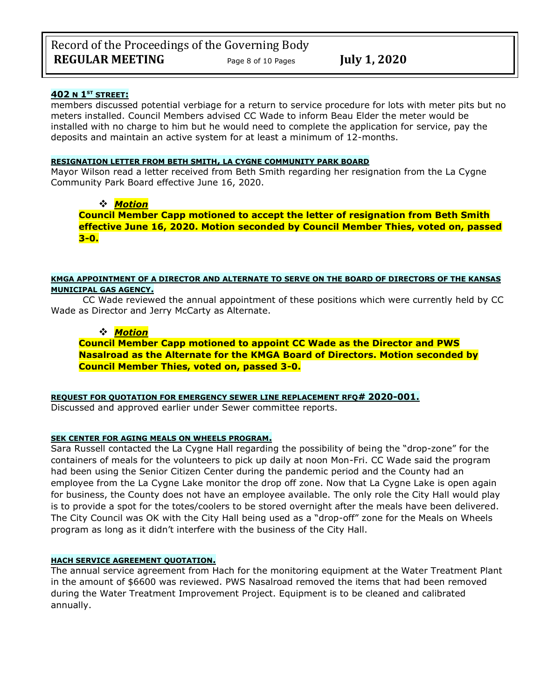### **402 N 1ST STREET:**

members discussed potential verbiage for a return to service procedure for lots with meter pits but no meters installed. Council Members advised CC Wade to inform Beau Elder the meter would be installed with no charge to him but he would need to complete the application for service, pay the deposits and maintain an active system for at least a minimum of 12-months.

#### **RESIGNATION LETTER FROM BETH SMITH, LA CYGNE COMMUNITY PARK BOARD**

Mayor Wilson read a letter received from Beth Smith regarding her resignation from the La Cygne Community Park Board effective June 16, 2020.

## ❖ *Motion*

**Council Member Capp motioned to accept the letter of resignation from Beth Smith effective June 16, 2020. Motion seconded by Council Member Thies, voted on, passed 3-0.** 

#### **KMGA APPOINTMENT OF A DIRECTOR AND ALTERNATE TO SERVE ON THE BOARD OF DIRECTORS OF THE KANSAS MUNICIPAL GAS AGENCY.**

CC Wade reviewed the annual appointment of these positions which were currently held by CC Wade as Director and Jerry McCarty as Alternate.

#### ❖ *Motion*

**Council Member Capp motioned to appoint CC Wade as the Director and PWS Nasalroad as the Alternate for the KMGA Board of Directors. Motion seconded by Council Member Thies, voted on, passed 3-0.** 

**REQUEST FOR QUOTATION FOR EMERGENCY SEWER LINE REPLACEMENT RFQ# 2020-001.**

Discussed and approved earlier under Sewer committee reports.

#### **SEK CENTER FOR AGING MEALS ON WHEELS PROGRAM.**

Sara Russell contacted the La Cygne Hall regarding the possibility of being the "drop-zone" for the containers of meals for the volunteers to pick up daily at noon Mon-Fri. CC Wade said the program had been using the Senior Citizen Center during the pandemic period and the County had an employee from the La Cygne Lake monitor the drop off zone. Now that La Cygne Lake is open again for business, the County does not have an employee available. The only role the City Hall would play is to provide a spot for the totes/coolers to be stored overnight after the meals have been delivered. The City Council was OK with the City Hall being used as a "drop-off" zone for the Meals on Wheels program as long as it didn't interfere with the business of the City Hall.

#### **HACH SERVICE AGREEMENT QUOTATION.**

The annual service agreement from Hach for the monitoring equipment at the Water Treatment Plant in the amount of \$6600 was reviewed. PWS Nasalroad removed the items that had been removed during the Water Treatment Improvement Project. Equipment is to be cleaned and calibrated annually.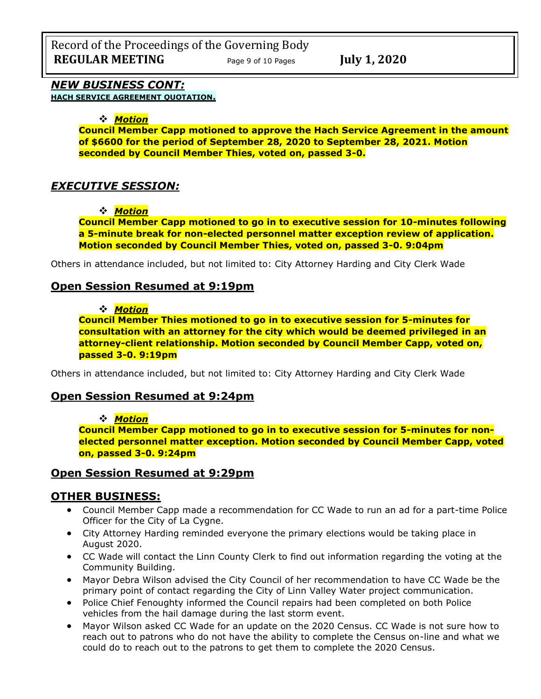## *NEW BUSINESS CONT:*

**HACH SERVICE AGREEMENT QUOTATION.**

### ❖ *Motion*

**Council Member Capp motioned to approve the Hach Service Agreement in the amount of \$6600 for the period of September 28, 2020 to September 28, 2021. Motion seconded by Council Member Thies, voted on, passed 3-0.** 

## *EXECUTIVE SESSION:*

#### ❖ *Motion*

**Council Member Capp motioned to go in to executive session for 10-minutes following a 5-minute break for non-elected personnel matter exception review of application. Motion seconded by Council Member Thies, voted on, passed 3-0. 9:04pm** 

Others in attendance included, but not limited to: City Attorney Harding and City Clerk Wade

## **Open Session Resumed at 9:19pm**

#### ❖ *Motion*

**Council Member Thies motioned to go in to executive session for 5-minutes for consultation with an attorney for the city which would be deemed privileged in an attorney-client relationship. Motion seconded by Council Member Capp, voted on, passed 3-0. 9:19pm** 

Others in attendance included, but not limited to: City Attorney Harding and City Clerk Wade

## **Open Session Resumed at 9:24pm**

### ❖ *Motion*

**Council Member Capp motioned to go in to executive session for 5-minutes for nonelected personnel matter exception. Motion seconded by Council Member Capp, voted on, passed 3-0. 9:24pm** 

## **Open Session Resumed at 9:29pm**

## **OTHER BUSINESS:**

- Council Member Capp made a recommendation for CC Wade to run an ad for a part-time Police Officer for the City of La Cygne.
- City Attorney Harding reminded everyone the primary elections would be taking place in August 2020.
- CC Wade will contact the Linn County Clerk to find out information regarding the voting at the Community Building.
- Mayor Debra Wilson advised the City Council of her recommendation to have CC Wade be the primary point of contact regarding the City of Linn Valley Water project communication.
- Police Chief Fenoughty informed the Council repairs had been completed on both Police vehicles from the hail damage during the last storm event.
- Mayor Wilson asked CC Wade for an update on the 2020 Census. CC Wade is not sure how to reach out to patrons who do not have the ability to complete the Census on-line and what we could do to reach out to the patrons to get them to complete the 2020 Census.